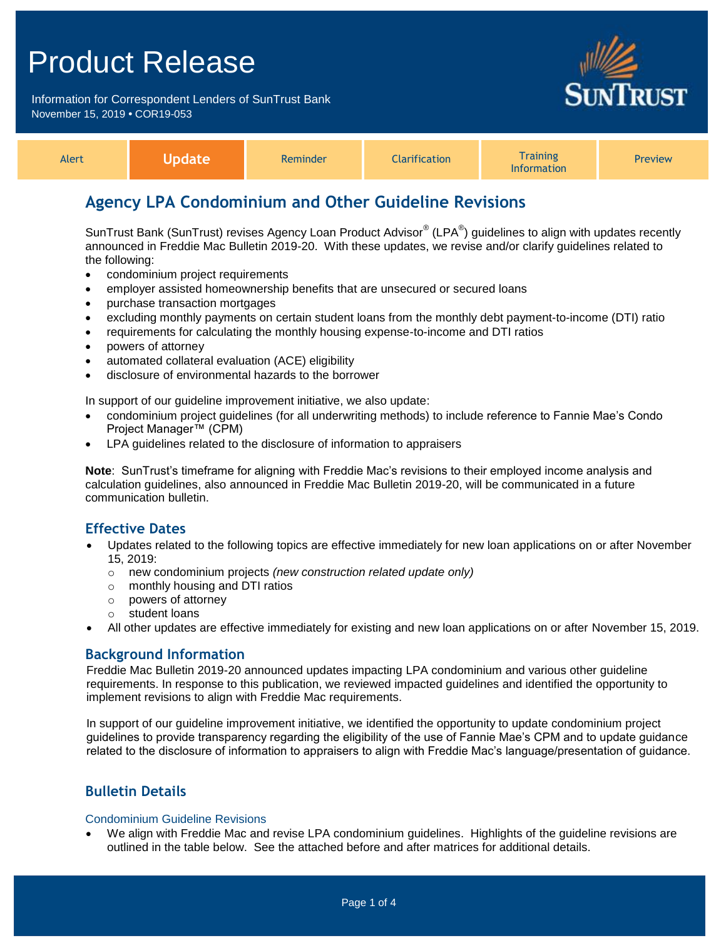Information for Correspondent Lenders of SunTrust Bank November 15, 2019 **•** COR19-053



| Alert | e ndate | Reminder | <b>Iarification</b> | <b>Training</b><br><b>Information</b> | <b>Preview</b> |
|-------|---------|----------|---------------------|---------------------------------------|----------------|
|-------|---------|----------|---------------------|---------------------------------------|----------------|

## **Agency LPA Condominium and Other Guideline Revisions**

SunTrust Bank (SunTrust) revises Agency Loan Product Advisor® (LPA®) guidelines to align with updates recently announced in Freddie Mac Bulletin 2019-20. With these updates, we revise and/or clarify guidelines related to the following:

- condominium project requirements
- employer assisted homeownership benefits that are unsecured or secured loans
- purchase transaction mortgages
- excluding monthly payments on certain student loans from the monthly debt payment-to-income (DTI) ratio
- requirements for calculating the monthly housing expense-to-income and DTI ratios
- powers of attorney
- automated collateral evaluation (ACE) eligibility
- disclosure of environmental hazards to the borrower

In support of our guideline improvement initiative, we also update:

- condominium project guidelines (for all underwriting methods) to include reference to Fannie Mae's Condo Project Manager™ (CPM)
- LPA guidelines related to the disclosure of information to appraisers

**Note**: SunTrust's timeframe for aligning with Freddie Mac's revisions to their employed income analysis and calculation guidelines, also announced in Freddie Mac Bulletin 2019-20, will be communicated in a future communication bulletin.

#### **Effective Dates**

- Updates related to the following topics are effective immediately for new loan applications on or after November 15, 2019:
	- o new condominium projects *(new construction related update only)*
	- o monthly housing and DTI ratios
	- o powers of attorney
	- o student loans
- All other updates are effective immediately for existing and new loan applications on or after November 15, 2019.

#### **Background Information**

Freddie Mac Bulletin 2019-20 announced updates impacting LPA condominium and various other guideline requirements. In response to this publication, we reviewed impacted guidelines and identified the opportunity to implement revisions to align with Freddie Mac requirements.

In support of our guideline improvement initiative, we identified the opportunity to update condominium project guidelines to provide transparency regarding the eligibility of the use of Fannie Mae's CPM and to update guidance related to the disclosure of information to appraisers to align with Freddie Mac's language/presentation of guidance.

## **Bulletin Details**

#### Condominium Guideline Revisions

 We align with Freddie Mac and revise LPA condominium guidelines. Highlights of the guideline revisions are outlined in the table below. See the attached before and after matrices for additional details.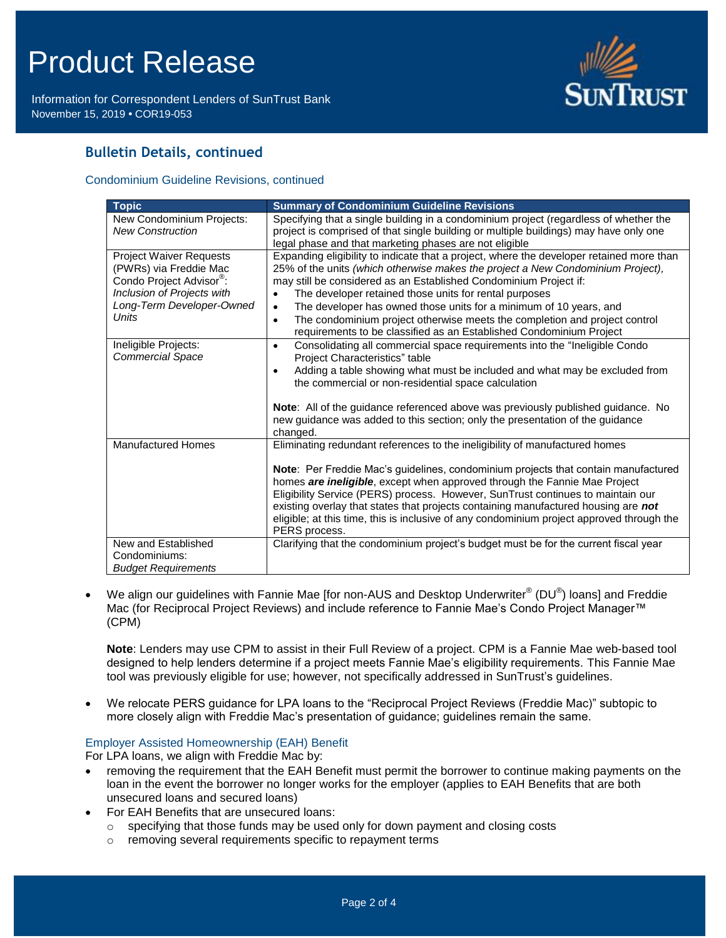Information for Correspondent Lenders of SunTrust Bank November 15, 2019 **•** COR19-053



## **Bulletin Details, continued**

#### Condominium Guideline Revisions, continued

| <b>Topic</b>                                                                                                                                                         | <b>Summary of Condominium Guideline Revisions</b>                                                                                                                                                                                                                                                                                                                                                                                                                                                                                                                            |
|----------------------------------------------------------------------------------------------------------------------------------------------------------------------|------------------------------------------------------------------------------------------------------------------------------------------------------------------------------------------------------------------------------------------------------------------------------------------------------------------------------------------------------------------------------------------------------------------------------------------------------------------------------------------------------------------------------------------------------------------------------|
| New Condominium Projects:<br><b>New Construction</b>                                                                                                                 | Specifying that a single building in a condominium project (regardless of whether the<br>project is comprised of that single building or multiple buildings) may have only one<br>legal phase and that marketing phases are not eligible                                                                                                                                                                                                                                                                                                                                     |
| <b>Project Waiver Requests</b><br>(PWRs) via Freddie Mac<br>Condo Project Advisor <sup>®</sup> :<br>Inclusion of Projects with<br>Long-Term Developer-Owned<br>Units | Expanding eligibility to indicate that a project, where the developer retained more than<br>25% of the units (which otherwise makes the project a New Condominium Project),<br>may still be considered as an Established Condominium Project if:<br>The developer retained those units for rental purposes<br>$\bullet$<br>The developer has owned those units for a minimum of 10 years, and<br>$\bullet$<br>The condominium project otherwise meets the completion and project control<br>$\bullet$<br>requirements to be classified as an Established Condominium Project |
| Ineligible Projects:<br><b>Commercial Space</b>                                                                                                                      | Consolidating all commercial space requirements into the "Ineligible Condo"<br>$\bullet$<br>Project Characteristics" table<br>Adding a table showing what must be included and what may be excluded from<br>the commercial or non-residential space calculation<br>Note: All of the guidance referenced above was previously published guidance. No<br>new guidance was added to this section; only the presentation of the guidance<br>changed.                                                                                                                             |
| <b>Manufactured Homes</b>                                                                                                                                            | Eliminating redundant references to the ineligibility of manufactured homes<br>Note: Per Freddie Mac's guidelines, condominium projects that contain manufactured<br>homes are ineligible, except when approved through the Fannie Mae Project<br>Eligibility Service (PERS) process. However, SunTrust continues to maintain our<br>existing overlay that states that projects containing manufactured housing are not<br>eligible; at this time, this is inclusive of any condominium project approved through the<br>PERS process.                                        |
| New and Established<br>Condominiums:<br><b>Budget Requirements</b>                                                                                                   | Clarifying that the condominium project's budget must be for the current fiscal year                                                                                                                                                                                                                                                                                                                                                                                                                                                                                         |

• We align our guidelines with Fannie Mae [for non-AUS and Desktop Underwriter® (DU®) loans] and Freddie Mac (for Reciprocal Project Reviews) and include reference to Fannie Mae's Condo Project Manager™ (CPM)

**Note**: Lenders may use CPM to assist in their Full Review of a project. CPM is a Fannie Mae web-based tool designed to help lenders determine if a project meets Fannie Mae's eligibility requirements. This Fannie Mae tool was previously eligible for use; however, not specifically addressed in SunTrust's guidelines.

 We relocate PERS guidance for LPA loans to the "Reciprocal Project Reviews (Freddie Mac)" subtopic to more closely align with Freddie Mac's presentation of guidance; guidelines remain the same.

#### Employer Assisted Homeownership (EAH) Benefit

For LPA loans, we align with Freddie Mac by:

- removing the requirement that the EAH Benefit must permit the borrower to continue making payments on the loan in the event the borrower no longer works for the employer (applies to EAH Benefits that are both unsecured loans and secured loans)
- For EAH Benefits that are unsecured loans:
	- $\circ$  specifying that those funds may be used only for down payment and closing costs
	- o removing several requirements specific to repayment terms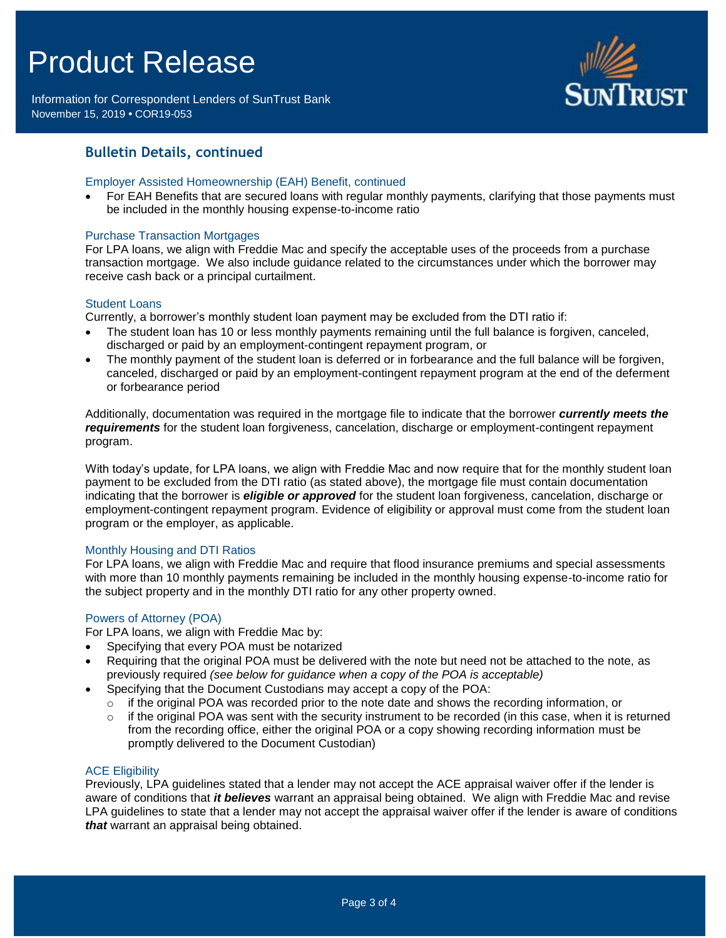Information for Correspondent Lenders of SunTrust Bank November 15, 2019 **•** COR19-053



### **Bulletin Details, continued**

#### Employer Assisted Homeownership (EAH) Benefit, continued

 For EAH Benefits that are secured loans with regular monthly payments, clarifying that those payments must be included in the monthly housing expense-to-income ratio

#### Purchase Transaction Mortgages

For LPA loans, we align with Freddie Mac and specify the acceptable uses of the proceeds from a purchase transaction mortgage. We also include guidance related to the circumstances under which the borrower may receive cash back or a principal curtailment.

#### Student Loans

Currently, a borrower's monthly student loan payment may be excluded from the DTI ratio if:

- The student loan has 10 or less monthly payments remaining until the full balance is forgiven, canceled, discharged or paid by an employment-contingent repayment program, or
- The monthly payment of the student loan is deferred or in forbearance and the full balance will be forgiven, canceled, discharged or paid by an employment-contingent repayment program at the end of the deferment or forbearance period

Additionally, documentation was required in the mortgage file to indicate that the borrower *currently meets the requirements* for the student loan forgiveness, cancelation, discharge or employment-contingent repayment program.

With today's update, for LPA loans, we align with Freddie Mac and now require that for the monthly student loan payment to be excluded from the DTI ratio (as stated above), the mortgage file must contain documentation indicating that the borrower is *eligible or approved* for the student loan forgiveness, cancelation, discharge or employment-contingent repayment program. Evidence of eligibility or approval must come from the student loan program or the employer, as applicable.

#### Monthly Housing and DTI Ratios

For LPA loans, we align with Freddie Mac and require that flood insurance premiums and special assessments with more than 10 monthly payments remaining be included in the monthly housing expense-to-income ratio for the subject property and in the monthly DTI ratio for any other property owned.

#### Powers of Attorney (POA)

For LPA loans, we align with Freddie Mac by:

- Specifying that every POA must be notarized
- Requiring that the original POA must be delivered with the note but need not be attached to the note, as previously required *(see below for guidance when a copy of the POA is acceptable)*
- Specifying that the Document Custodians may accept a copy of the POA:
	- $\circ$  if the original POA was recorded prior to the note date and shows the recording information, or
	- $\circ$  if the original POA was sent with the security instrument to be recorded (in this case, when it is returned from the recording office, either the original POA or a copy showing recording information must be promptly delivered to the Document Custodian)

#### **ACE Eligibility**

Previously, LPA guidelines stated that a lender may not accept the ACE appraisal waiver offer if the lender is aware of conditions that *it believes* warrant an appraisal being obtained. We align with Freddie Mac and revise LPA guidelines to state that a lender may not accept the appraisal waiver offer if the lender is aware of conditions *that* warrant an appraisal being obtained.